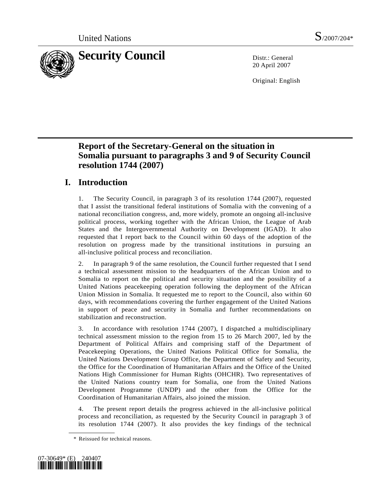

20 April 2007

Original: English

# **Report of the Secretary-General on the situation in Somalia pursuant to paragraphs 3 and 9 of Security Council resolution 1744 (2007)**

# **I. Introduction**

1. The Security Council, in paragraph 3 of its resolution 1744 (2007), requested that I assist the transitional federal institutions of Somalia with the convening of a national reconciliation congress, and, more widely, promote an ongoing all-inclusive political process, working together with the African Union, the League of Arab States and the Intergovernmental Authority on Development (IGAD). It also requested that I report back to the Council within 60 days of the adoption of the resolution on progress made by the transitional institutions in pursuing an all-inclusive political process and reconciliation.

2. In paragraph 9 of the same resolution, the Council further requested that I send a technical assessment mission to the headquarters of the African Union and to Somalia to report on the political and security situation and the possibility of a United Nations peacekeeping operation following the deployment of the African Union Mission in Somalia. It requested me to report to the Council, also within 60 days, with recommendations covering the further engagement of the United Nations in support of peace and security in Somalia and further recommendations on stabilization and reconstruction.

3. In accordance with resolution 1744 (2007), I dispatched a multidisciplinary technical assessment mission to the region from 15 to 26 March 2007, led by the Department of Political Affairs and comprising staff of the Department of Peacekeeping Operations, the United Nations Political Office for Somalia, the United Nations Development Group Office, the Department of Safety and Security, the Office for the Coordination of Humanitarian Affairs and the Office of the United Nations High Commissioner for Human Rights (OHCHR). Two representatives of the United Nations country team for Somalia, one from the United Nations Development Programme (UNDP) and the other from the Office for the Coordination of Humanitarian Affairs, also joined the mission.

4. The present report details the progress achieved in the all-inclusive political process and reconciliation, as requested by the Security Council in paragraph 3 of its resolution 1744 (2007). It also provides the key findings of the technical

 <sup>\*</sup> Reissued for technical reasons.

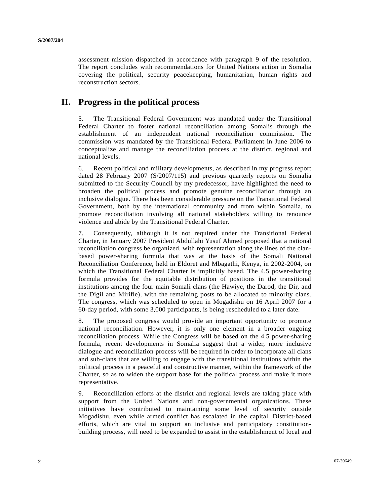assessment mission dispatched in accordance with paragraph 9 of the resolution. The report concludes with recommendations for United Nations action in Somalia covering the political, security peacekeeping, humanitarian, human rights and reconstruction sectors.

# **II. Progress in the political process**

5. The Transitional Federal Government was mandated under the Transitional Federal Charter to foster national reconciliation among Somalis through the establishment of an independent national reconciliation commission. The commission was mandated by the Transitional Federal Parliament in June 2006 to conceptualize and manage the reconciliation process at the district, regional and national levels.

6. Recent political and military developments, as described in my progress report dated 28 February 2007 (S/2007/115) and previous quarterly reports on Somalia submitted to the Security Council by my predecessor, have highlighted the need to broaden the political process and promote genuine reconciliation through an inclusive dialogue. There has been considerable pressure on the Transitional Federal Government, both by the international community and from within Somalia, to promote reconciliation involving all national stakeholders willing to renounce violence and abide by the Transitional Federal Charter.

7. Consequently, although it is not required under the Transitional Federal Charter, in January 2007 President Abdullahi Yusuf Ahmed proposed that a national reconciliation congress be organized, with representation along the lines of the clanbased power-sharing formula that was at the basis of the Somali National Reconciliation Conference, held in Eldoret and Mbagathi, Kenya, in 2002-2004, on which the Transitional Federal Charter is implicitly based. The 4.5 power-sharing formula provides for the equitable distribution of positions in the transitional institutions among the four main Somali clans (the Hawiye, the Darod, the Dir, and the Digil and Mirifle), with the remaining posts to be allocated to minority clans. The congress, which was scheduled to open in Mogadishu on 16 April 2007 for a 60-day period, with some 3,000 participants, is being rescheduled to a later date.

8. The proposed congress would provide an important opportunity to promote national reconciliation. However, it is only one element in a broader ongoing reconciliation process. While the Congress will be based on the 4.5 power-sharing formula, recent developments in Somalia suggest that a wider, more inclusive dialogue and reconciliation process will be required in order to incorporate all clans and sub-clans that are willing to engage with the transitional institutions within the political process in a peaceful and constructive manner, within the framework of the Charter, so as to widen the support base for the political process and make it more representative.

9. Reconciliation efforts at the district and regional levels are taking place with support from the United Nations and non-governmental organizations. These initiatives have contributed to maintaining some level of security outside Mogadishu, even while armed conflict has escalated in the capital. District-based efforts, which are vital to support an inclusive and participatory constitutionbuilding process, will need to be expanded to assist in the establishment of local and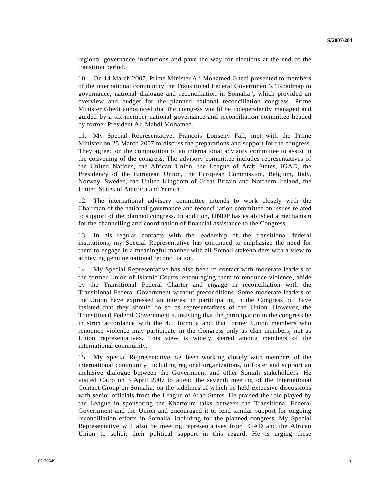regional governance institutions and pave the way for elections at the end of the transition period.

10. On 14 March 2007, Prime Minister Ali Mohamed Ghedi presented to members of the international community the Transitional Federal Government's "Roadmap to governance, national dialogue and reconciliation in Somalia", which provided an overview and budget for the planned national reconciliation congress. Prime Minister Ghedi announced that the congress would be independently managed and guided by a six-member national governance and reconciliation committee headed by former President Ali Mahdi Mohamed.

11. My Special Representative, François Lonseny Fall, met with the Prime Minister on 25 March 2007 to discuss the preparations and support for the congress. They agreed on the composition of an international advisory committee to assist in the convening of the congress. The advisory committee includes representatives of the United Nations, the African Union, the League of Arab States, IGAD, the Presidency of the European Union, the European Commission, Belgium, Italy, Norway, Sweden, the United Kingdom of Great Britain and Northern Ireland, the United States of America and Yemen.

12. The international advisory committee intends to work closely with the Chairman of the national governance and reconciliation committee on issues related to support of the planned congress. In addition, UNDP has established a mechanism for the channelling and coordination of financial assistance to the Congress.

13. In his regular contacts with the leadership of the transitional federal institutions, my Special Representative has continued to emphasize the need for them to engage in a meaningful manner with all Somali stakeholders with a view to achieving genuine national reconciliation.

14. My Special Representative has also been in contact with moderate leaders of the former Union of Islamic Courts, encouraging them to renounce violence, abide by the Transitional Federal Charter and engage in reconciliation with the Transitional Federal Government without preconditions. Some moderate leaders of the Union have expressed an interest in participating in the Congress but have insisted that they should do so as representatives of the Union. However, the Transitional Federal Government is insisting that the participation in the congress be in strict accordance with the 4.5 formula and that former Union members who renounce violence may participate in the Congress only as clan members, not as Union representatives. This view is widely shared among members of the international community.

15. My Special Representative has been working closely with members of the international community, including regional organizations, to foster and support an inclusive dialogue between the Government and other Somali stakeholders. He visited Cairo on 3 April 2007 to attend the seventh meeting of the International Contact Group on Somalia, on the sidelines of which he held extensive discussions with senior officials from the League of Arab States. He praised the role played by the League in sponsoring the Khartoum talks between the Transitional Federal Government and the Union and encouraged it to lend similar support for ongoing reconciliation efforts in Somalia, including for the planned congress. My Special Representative will also be meeting representatives from IGAD and the African Union to solicit their political support in this regard. He is urging these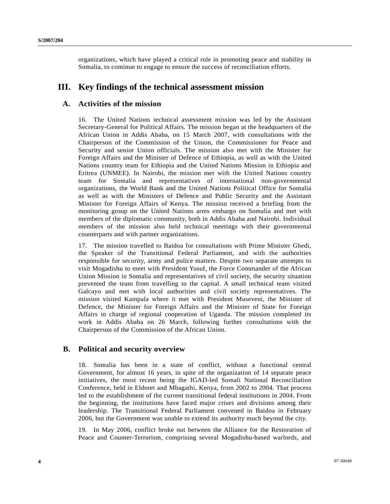organizations, which have played a critical role in promoting peace and stability in Somalia, to continue to engage to ensure the success of reconciliation efforts.

# **III. Key findings of the technical assessment mission**

## **A. Activities of the mission**

16. The United Nations technical assessment mission was led by the Assistant Secretary-General for Political Affairs. The mission began at the headquarters of the African Union in Addis Ababa, on 15 March 2007, with consultations with the Chairperson of the Commission of the Union, the Commissioner for Peace and Security and senior Union officials. The mission also met with the Minister for Foreign Affairs and the Minister of Defence of Ethiopia, as well as with the United Nations country team for Ethiopia and the United Nations Mission in Ethiopia and Eritrea (UNMEE). In Nairobi, the mission met with the United Nations country team for Somalia and representatives of international non-governmental organizations, the World Bank and the United Nations Political Office for Somalia as well as with the Ministers of Defence and Public Security and the Assistant Minister for Foreign Affairs of Kenya. The mission received a briefing from the monitoring group on the United Nations arms embargo on Somalia and met with members of the diplomatic community, both in Addis Ababa and Nairobi. Individual members of the mission also held technical meetings with their governmental counterparts and with partner organizations.

17. The mission travelled to Baidoa for consultations with Prime Minister Ghedi, the Speaker of the Transitional Federal Parliament, and with the authorities responsible for security, army and police matters. Despite two separate attempts to visit Mogadishu to meet with President Yusuf, the Force Commander of the African Union Mission in Somalia and representatives of civil society, the security situation prevented the team from travelling to the capital. A small technical team visited Galcayo and met with local authorities and civil society representatives. The mission visited Kampala where it met with President Museveni, the Minister of Defence, the Minister for Foreign Affairs and the Minister of State for Foreign Affairs in charge of regional cooperation of Uganda. The mission completed its work in Addis Ababa on 26 March, following further consultations with the Chairperson of the Commission of the African Union.

### **B. Political and security overview**

18. Somalia has been in a state of conflict, without a functional central Government, for almost 16 years, in spite of the organization of 14 separate peace initiatives, the most recent being the IGAD-led Somali National Reconciliation Conference, held in Eldoret and Mbagathi, Kenya, from 2002 to 2004. That process led to the establishment of the current transitional federal institutions in 2004. From the beginning, the institutions have faced major crises and divisions among their leadership. The Transitional Federal Parliament convened in Baidoa in February 2006, but the Government was unable to extend its authority much beyond the city.

19. In May 2006, conflict broke out between the Alliance for the Restoration of Peace and Counter-Terrorism, comprising several Mogadishu-based warlords, and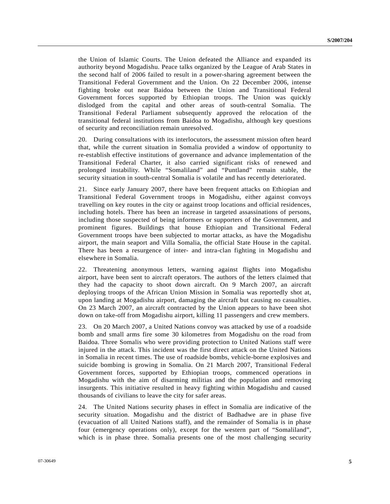the Union of Islamic Courts. The Union defeated the Alliance and expanded its authority beyond Mogadishu. Peace talks organized by the League of Arab States in the second half of 2006 failed to result in a power-sharing agreement between the Transitional Federal Government and the Union. On 22 December 2006, intense fighting broke out near Baidoa between the Union and Transitional Federal Government forces supported by Ethiopian troops. The Union was quickly dislodged from the capital and other areas of south-central Somalia. The Transitional Federal Parliament subsequently approved the relocation of the transitional federal institutions from Baidoa to Mogadishu, although key questions of security and reconciliation remain unresolved.

20. During consultations with its interlocutors, the assessment mission often heard that, while the current situation in Somalia provided a window of opportunity to re-establish effective institutions of governance and advance implementation of the Transitional Federal Charter, it also carried significant risks of renewed and prolonged instability. While "Somaliland" and "Puntland" remain stable, the security situation in south-central Somalia is volatile and has recently deteriorated.

21. Since early January 2007, there have been frequent attacks on Ethiopian and Transitional Federal Government troops in Mogadishu, either against convoys travelling on key routes in the city or against troop locations and official residences, including hotels. There has been an increase in targeted assassinations of persons, including those suspected of being informers or supporters of the Government, and prominent figures. Buildings that house Ethiopian and Transitional Federal Government troops have been subjected to mortar attacks, as have the Mogadishu airport, the main seaport and Villa Somalia, the official State House in the capital. There has been a resurgence of inter- and intra-clan fighting in Mogadishu and elsewhere in Somalia.

22. Threatening anonymous letters, warning against flights into Mogadishu airport, have been sent to aircraft operators. The authors of the letters claimed that they had the capacity to shoot down aircraft. On 9 March 2007, an aircraft deploying troops of the African Union Mission in Somalia was reportedly shot at, upon landing at Mogadishu airport, damaging the aircraft but causing no casualties. On 23 March 2007, an aircraft contracted by the Union appears to have been shot down on take-off from Mogadishu airport, killing 11 passengers and crew members.

23. On 20 March 2007, a United Nations convoy was attacked by use of a roadside bomb and small arms fire some 30 kilometres from Mogadishu on the road from Baidoa. Three Somalis who were providing protection to United Nations staff were injured in the attack. This incident was the first direct attack on the United Nations in Somalia in recent times. The use of roadside bombs, vehicle-borne explosives and suicide bombing is growing in Somalia. On 21 March 2007, Transitional Federal Government forces, supported by Ethiopian troops, commenced operations in Mogadishu with the aim of disarming militias and the population and removing insurgents. This initiative resulted in heavy fighting within Mogadishu and caused thousands of civilians to leave the city for safer areas.

24. The United Nations security phases in effect in Somalia are indicative of the security situation. Mogadishu and the district of Badhadwe are in phase five (evacuation of all United Nations staff), and the remainder of Somalia is in phase four (emergency operations only), except for the western part of "Somaliland", which is in phase three. Somalia presents one of the most challenging security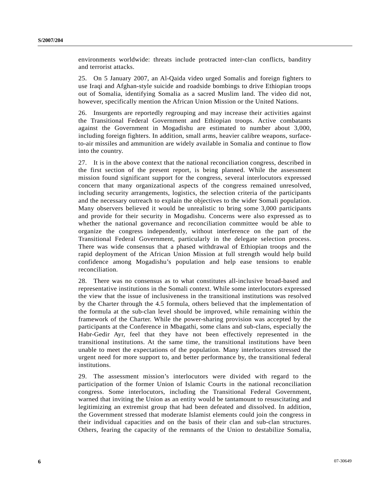environments worldwide: threats include protracted inter-clan conflicts, banditry and terrorist attacks.

25. On 5 January 2007, an Al-Qaida video urged Somalis and foreign fighters to use Iraqi and Afghan-style suicide and roadside bombings to drive Ethiopian troops out of Somalia, identifying Somalia as a sacred Muslim land. The video did not, however, specifically mention the African Union Mission or the United Nations.

26. Insurgents are reportedly regrouping and may increase their activities against the Transitional Federal Government and Ethiopian troops. Active combatants against the Government in Mogadishu are estimated to number about 3,000, including foreign fighters. In addition, small arms, heavier calibre weapons, surfaceto-air missiles and ammunition are widely available in Somalia and continue to flow into the country.

27. It is in the above context that the national reconciliation congress, described in the first section of the present report, is being planned. While the assessment mission found significant support for the congress, several interlocutors expressed concern that many organizational aspects of the congress remained unresolved, including security arrangements, logistics, the selection criteria of the participants and the necessary outreach to explain the objectives to the wider Somali population. Many observers believed it would be unrealistic to bring some 3,000 participants and provide for their security in Mogadishu. Concerns were also expressed as to whether the national governance and reconciliation committee would be able to organize the congress independently, without interference on the part of the Transitional Federal Government, particularly in the delegate selection process. There was wide consensus that a phased withdrawal of Ethiopian troops and the rapid deployment of the African Union Mission at full strength would help build confidence among Mogadishu's population and help ease tensions to enable reconciliation.

28. There was no consensus as to what constitutes all-inclusive broad-based and representative institutions in the Somali context. While some interlocutors expressed the view that the issue of inclusiveness in the transitional institutions was resolved by the Charter through the 4.5 formula, others believed that the implementation of the formula at the sub-clan level should be improved, while remaining within the framework of the Charter. While the power-sharing provision was accepted by the participants at the Conference in Mbagathi, some clans and sub-clans, especially the Habr-Gedir Ayr, feel that they have not been effectively represented in the transitional institutions. At the same time, the transitional institutions have been unable to meet the expectations of the population. Many interlocutors stressed the urgent need for more support to, and better performance by, the transitional federal institutions.

29. The assessment mission's interlocutors were divided with regard to the participation of the former Union of Islamic Courts in the national reconciliation congress. Some interlocutors, including the Transitional Federal Government, warned that inviting the Union as an entity would be tantamount to resuscitating and legitimizing an extremist group that had been defeated and dissolved. In addition, the Government stressed that moderate Islamist elements could join the congress in their individual capacities and on the basis of their clan and sub-clan structures. Others, fearing the capacity of the remnants of the Union to destabilize Somalia,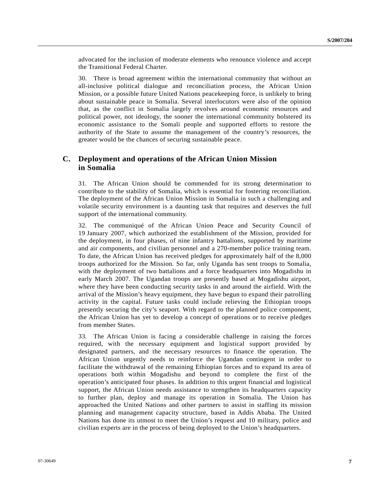advocated for the inclusion of moderate elements who renounce violence and accept the Transitional Federal Charter.

30. There is broad agreement within the international community that without an all-inclusive political dialogue and reconciliation process, the African Union Mission, or a possible future United Nations peacekeeping force, is unlikely to bring about sustainable peace in Somalia. Several interlocutors were also of the opinion that, as the conflict in Somalia largely revolves around economic resources and political power, not ideology, the sooner the international community bolstered its economic assistance to the Somali people and supported efforts to restore the authority of the State to assume the management of the country's resources, the greater would be the chances of securing sustainable peace.

## **C. Deployment and operations of the African Union Mission in Somalia**

31. The African Union should be commended for its strong determination to contribute to the stability of Somalia, which is essential for fostering reconciliation. The deployment of the African Union Mission in Somalia in such a challenging and volatile security environment is a daunting task that requires and deserves the full support of the international community.

32. The communiqué of the African Union Peace and Security Council of 19 January 2007, which authorized the establishment of the Mission, provided for the deployment, in four phases, of nine infantry battalions, supported by maritime and air components, and civilian personnel and a 270-member police training team. To date, the African Union has received pledges for approximately half of the 8,000 troops authorized for the Mission. So far, only Uganda has sent troops to Somalia, with the deployment of two battalions and a force headquarters into Mogadishu in early March 2007. The Ugandan troops are presently based at Mogadishu airport, where they have been conducting security tasks in and around the airfield. With the arrival of the Mission's heavy equipment, they have begun to expand their patrolling activity in the capital. Future tasks could include relieving the Ethiopian troops presently securing the city's seaport. With regard to the planned police component, the African Union has yet to develop a concept of operations or to receive pledges from member States.

33. The African Union is facing a considerable challenge in raising the forces required, with the necessary equipment and logistical support provided by designated partners, and the necessary resources to finance the operation. The African Union urgently needs to reinforce the Ugandan contingent in order to facilitate the withdrawal of the remaining Ethiopian forces and to expand its area of operations both within Mogadishu and beyond to complete the first of the operation's anticipated four phases. In addition to this urgent financial and logistical support, the African Union needs assistance to strengthen its headquarters capacity to further plan, deploy and manage its operation in Somalia. The Union has approached the United Nations and other partners to assist in staffing its mission planning and management capacity structure, based in Addis Ababa. The United Nations has done its utmost to meet the Union's request and 10 military, police and civilian experts are in the process of being deployed to the Union's headquarters.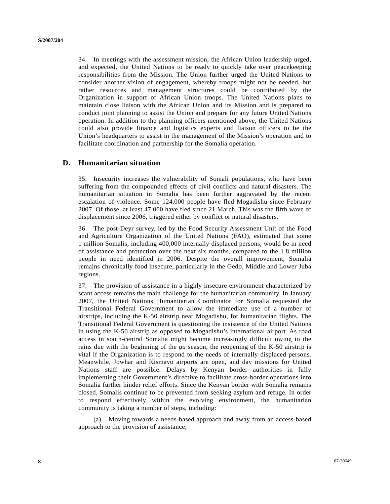34. In meetings with the assessment mission, the African Union leadership urged, and expected, the United Nations to be ready to quickly take over peacekeeping responsibilities from the Mission. The Union further urged the United Nations to consider another vision of engagement, whereby troops might not be needed, but rather resources and management structures could be contributed by the Organization in support of African Union troops. The United Nations plans to maintain close liaison with the African Union and its Mission and is prepared to conduct joint planning to assist the Union and prepare for any future United Nations operation. In addition to the planning officers mentioned above, the United Nations could also provide finance and logistics experts and liaison officers to be the Union's headquarters to assist in the management of the Mission's operation and to facilitate coordination and partnership for the Somalia operation.

## **D. Humanitarian situation**

35. Insecurity increases the vulnerability of Somali populations, who have been suffering from the compounded effects of civil conflicts and natural disasters. The humanitarian situation in Somalia has been further aggravated by the recent escalation of violence. Some 124,000 people have fled Mogadishu since February 2007. Of those, at least 47,000 have fled since 21 March. This was the fifth wave of displacement since 2006, triggered either by conflict or natural disasters.

36. The post-Deyr survey, led by the Food Security Assessment Unit of the Food and Agriculture Organization of the United Nations (FAO), estimated that some 1 million Somalis, including 400,000 internally displaced persons, would be in need of assistance and protection over the next six months, compared to the 1.8 million people in need identified in 2006. Despite the overall improvement, Somalia remains chronically food insecure, particularly in the Gedo, Middle and Lower Juba regions.

37. The provision of assistance in a highly insecure environment characterized by scant access remains the main challenge for the humanitarian community. In January 2007, the United Nations Humanitarian Coordinator for Somalia requested the Transitional Federal Government to allow the immediate use of a number of airstrips, including the K-50 airstrip near Mogadishu, for humanitarian flights. The Transitional Federal Government is questioning the insistence of the United Nations in using the K-50 airstrip as opposed to Mogadishu's international airport. As road access in south-central Somalia might become increasingly difficult owing to the rains due with the beginning of the *gu* season, the reopening of the K-50 airstrip is vital if the Organization is to respond to the needs of internally displaced persons. Meanwhile, Jowhar and Kismayo airports are open, and day missions for United Nations staff are possible. Delays by Kenyan border authorities in fully implementing their Government's directive to facilitate cross-border operations into Somalia further hinder relief efforts. Since the Kenyan border with Somalia remains closed, Somalis continue to be prevented from seeking asylum and refuge. In order to respond effectively within the evolving environment, the humanitarian community is taking a number of steps, including:

 (a) Moving towards a needs-based approach and away from an access-based approach to the provision of assistance;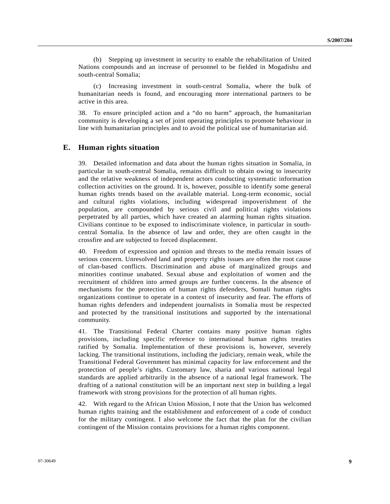(b) Stepping up investment in security to enable the rehabilitation of United Nations compounds and an increase of personnel to be fielded in Mogadishu and south-central Somalia;

 (c) Increasing investment in south-central Somalia, where the bulk of humanitarian needs is found, and encouraging more international partners to be active in this area.

38. To ensure principled action and a "do no harm" approach, the humanitarian community is developing a set of joint operating principles to promote behaviour in line with humanitarian principles and to avoid the political use of humanitarian aid.

### **E. Human rights situation**

39. Detailed information and data about the human rights situation in Somalia, in particular in south-central Somalia, remains difficult to obtain owing to insecurity and the relative weakness of independent actors conducting systematic information collection activities on the ground. It is, however, possible to identify some general human rights trends based on the available material. Long-term economic, social and cultural rights violations, including widespread impoverishment of the population, are compounded by serious civil and political rights violations perpetrated by all parties, which have created an alarming human rights situation. Civilians continue to be exposed to indiscriminate violence, in particular in southcentral Somalia. In the absence of law and order, they are often caught in the crossfire and are subjected to forced displacement.

40. Freedom of expression and opinion and threats to the media remain issues of serious concern. Unresolved land and property rights issues are often the root cause of clan-based conflicts. Discrimination and abuse of marginalized groups and minorities continue unabated. Sexual abuse and exploitation of women and the recruitment of children into armed groups are further concerns. In the absence of mechanisms for the protection of human rights defenders, Somali human rights organizations continue to operate in a context of insecurity and fear. The efforts of human rights defenders and independent journalists in Somalia must be respected and protected by the transitional institutions and supported by the international community.

41. The Transitional Federal Charter contains many positive human rights provisions, including specific reference to international human rights treaties ratified by Somalia. Implementation of these provisions is, however, severely lacking. The transitional institutions, including the judiciary, remain weak, while the Transitional Federal Government has minimal capacity for law enforcement and the protection of people's rights. Customary law, sharia and various national legal standards are applied arbitrarily in the absence of a national legal framework. The drafting of a national constitution will be an important next step in building a legal framework with strong provisions for the protection of all human rights.

42. With regard to the African Union Mission, I note that the Union has welcomed human rights training and the establishment and enforcement of a code of conduct for the military contingent. I also welcome the fact that the plan for the civilian contingent of the Mission contains provisions for a human rights component.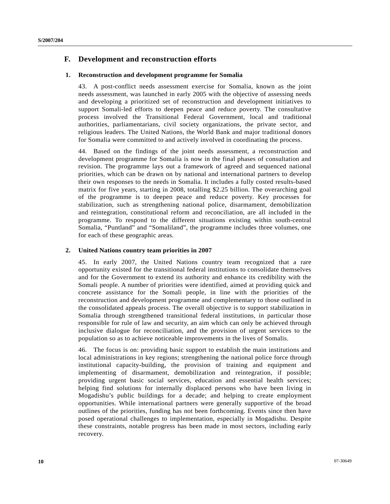## **F. Development and reconstruction efforts**

### **1. Reconstruction and development programme for Somalia**

43. A post-conflict needs assessment exercise for Somalia, known as the joint needs assessment, was launched in early 2005 with the objective of assessing needs and developing a prioritized set of reconstruction and development initiatives to support Somali-led efforts to deepen peace and reduce poverty. The consultative process involved the Transitional Federal Government, local and traditional authorities, parliamentarians, civil society organizations, the private sector, and religious leaders. The United Nations, the World Bank and major traditional donors for Somalia were committed to and actively involved in coordinating the process.

44. Based on the findings of the joint needs assessment, a reconstruction and development programme for Somalia is now in the final phases of consultation and revision. The programme lays out a framework of agreed and sequenced national priorities, which can be drawn on by national and international partners to develop their own responses to the needs in Somalia. It includes a fully costed results-based matrix for five years, starting in 2008, totalling \$2.25 billion. The overarching goal of the programme is to deepen peace and reduce poverty. Key processes for stabilization, such as strengthening national police, disarmament, demobilization and reintegration, constitutional reform and reconciliation, are all included in the programme. To respond to the different situations existing within south-central Somalia, "Puntland" and "Somaliland", the programme includes three volumes, one for each of these geographic areas.

### **2. United Nations country team priorities in 2007**

45. In early 2007, the United Nations country team recognized that a rare opportunity existed for the transitional federal institutions to consolidate themselves and for the Government to extend its authority and enhance its credibility with the Somali people. A number of priorities were identified, aimed at providing quick and concrete assistance for the Somali people, in line with the priorities of the reconstruction and development programme and complementary to those outlined in the consolidated appeals process. The overall objective is to support stabilization in Somalia through strengthened transitional federal institutions, in particular those responsible for rule of law and security, an aim which can only be achieved through inclusive dialogue for reconciliation, and the provision of urgent services to the population so as to achieve noticeable improvements in the lives of Somalis.

46. The focus is on: providing basic support to establish the main institutions and local administrations in key regions; strengthening the national police force through institutional capacity-building, the provision of training and equipment and implementing of disarmament, demobilization and reintegration, if possible; providing urgent basic social services, education and essential health services; helping find solutions for internally displaced persons who have been living in Mogadishu's public buildings for a decade; and helping to create employment opportunities. While international partners were generally supportive of the broad outlines of the priorities, funding has not been forthcoming. Events since then have posed operational challenges to implementation, especially in Mogadishu. Despite these constraints, notable progress has been made in most sectors, including early recovery.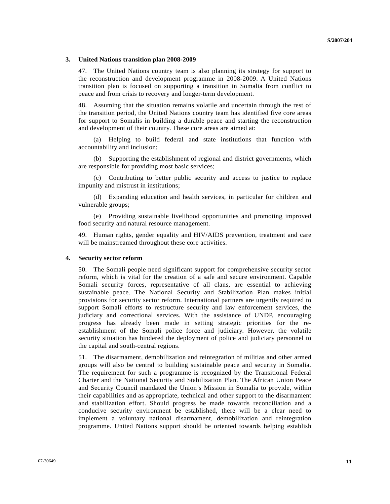#### **3. United Nations transition plan 2008-2009**

47. The United Nations country team is also planning its strategy for support to the reconstruction and development programme in 2008-2009. A United Nations transition plan is focused on supporting a transition in Somalia from conflict to peace and from crisis to recovery and longer-term development.

48. Assuming that the situation remains volatile and uncertain through the rest of the transition period, the United Nations country team has identified five core areas for support to Somalis in building a durable peace and starting the reconstruction and development of their country. These core areas are aimed at:

 (a) Helping to build federal and state institutions that function with accountability and inclusion;

 (b) Supporting the establishment of regional and district governments, which are responsible for providing most basic services;

 (c) Contributing to better public security and access to justice to replace impunity and mistrust in institutions;

 (d) Expanding education and health services, in particular for children and vulnerable groups;

 (e) Providing sustainable livelihood opportunities and promoting improved food security and natural resource management.

49. Human rights, gender equality and HIV/AIDS prevention, treatment and care will be mainstreamed throughout these core activities.

#### **4. Security sector reform**

50. The Somali people need significant support for comprehensive security sector reform, which is vital for the creation of a safe and secure environment. Capable Somali security forces, representative of all clans, are essential to achieving sustainable peace. The National Security and Stabilization Plan makes initial provisions for security sector reform. International partners are urgently required to support Somali efforts to restructure security and law enforcement services, the judiciary and correctional services. With the assistance of UNDP, encouraging progress has already been made in setting strategic priorities for the reestablishment of the Somali police force and judiciary. However, the volatile security situation has hindered the deployment of police and judiciary personnel to the capital and south-central regions.

51. The disarmament, demobilization and reintegration of militias and other armed groups will also be central to building sustainable peace and security in Somalia. The requirement for such a programme is recognized by the Transitional Federal Charter and the National Security and Stabilization Plan. The African Union Peace and Security Council mandated the Union's Mission in Somalia to provide, within their capabilities and as appropriate, technical and other support to the disarmament and stabilization effort. Should progress be made towards reconciliation and a conducive security environment be established, there will be a clear need to implement a voluntary national disarmament, demobilization and reintegration programme. United Nations support should be oriented towards helping establish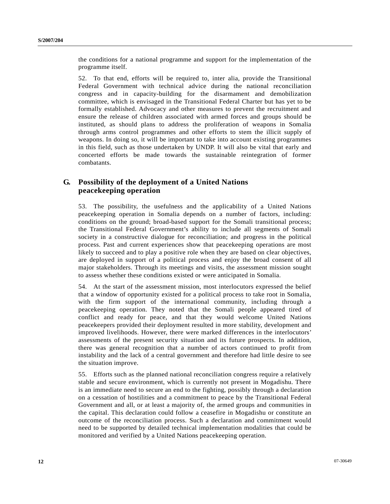the conditions for a national programme and support for the implementation of the programme itself.

52. To that end, efforts will be required to, inter alia, provide the Transitional Federal Government with technical advice during the national reconciliation congress and in capacity-building for the disarmament and demobilization committee, which is envisaged in the Transitional Federal Charter but has yet to be formally established. Advocacy and other measures to prevent the recruitment and ensure the release of children associated with armed forces and groups should be instituted, as should plans to address the proliferation of weapons in Somalia through arms control programmes and other efforts to stem the illicit supply of weapons. In doing so, it will be important to take into account existing programmes in this field, such as those undertaken by UNDP. It will also be vital that early and concerted efforts be made towards the sustainable reintegration of former combatants.

## **G. Possibility of the deployment of a United Nations peacekeeping operation**

53. The possibility, the usefulness and the applicability of a United Nations peacekeeping operation in Somalia depends on a number of factors, including: conditions on the ground; broad-based support for the Somali transitional process; the Transitional Federal Government's ability to include all segments of Somali society in a constructive dialogue for reconciliation; and progress in the political process. Past and current experiences show that peacekeeping operations are most likely to succeed and to play a positive role when they are based on clear objectives, are deployed in support of a political process and enjoy the broad consent of all major stakeholders. Through its meetings and visits, the assessment mission sought to assess whether these conditions existed or were anticipated in Somalia.

54. At the start of the assessment mission, most interlocutors expressed the belief that a window of opportunity existed for a political process to take root in Somalia, with the firm support of the international community, including through a peacekeeping operation. They noted that the Somali people appeared tired of conflict and ready for peace, and that they would welcome United Nations peacekeepers provided their deployment resulted in more stability, development and improved livelihoods. However, there were marked differences in the interlocutors' assessments of the present security situation and its future prospects. In addition, there was general recognition that a number of actors continued to profit from instability and the lack of a central government and therefore had little desire to see the situation improve.

55. Efforts such as the planned national reconciliation congress require a relatively stable and secure environment, which is currently not present in Mogadishu. There is an immediate need to secure an end to the fighting, possibly through a declaration on a cessation of hostilities and a commitment to peace by the Transitional Federal Government and all, or at least a majority of, the armed groups and communities in the capital. This declaration could follow a ceasefire in Mogadishu or constitute an outcome of the reconciliation process. Such a declaration and commitment would need to be supported by detailed technical implementation modalities that could be monitored and verified by a United Nations peacekeeping operation.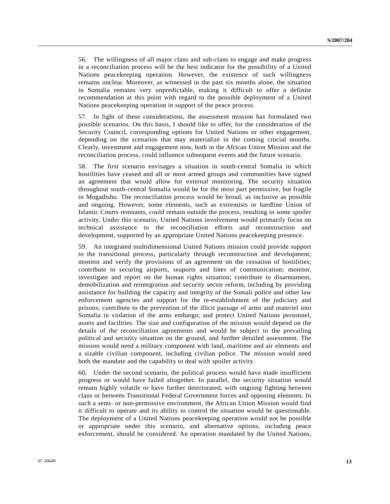56. The willingness of all major clans and sub-clans to engage and make progress in a reconciliation process will be the best indicator for the possibility of a United Nations peacekeeping operation. However, the existence of such willingness remains unclear. Moreover, as witnessed in the past six months alone, the situation in Somalia remains very unpredictable, making it difficult to offer a definite recommendation at this point with regard to the possible deployment of a United Nations peacekeeping operation in support of the peace process.

57. In light of these considerations, the assessment mission has formulated two possible scenarios. On this basis, I should like to offer, for the consideration of the Security Council, corresponding options for United Nations or other engagement, depending on the scenarios that may materialize in the coming crucial months. Clearly, investment and engagement now, both in the African Union Mission and the reconciliation process, could influence subsequent events and the future scenario.

58. The first scenario envisages a situation in south-central Somalia in which hostilities have ceased and all or most armed groups and communities have signed an agreement that would allow for external monitoring. The security situation throughout south-central Somalia would be for the most part permissive, but fragile in Mogadishu. The reconciliation process would be broad, as inclusive as possible and ongoing. However, some elements, such as extremists or hardline Union of Islamic Courts remnants, could remain outside the process, resulting in some spoiler activity. Under this scenario, United Nations involvement would primarily focus on technical assistance to the reconciliation efforts and reconstruction and development, supported by an appropriate United Nations peacekeeping presence.

59. An integrated multidimensional United Nations mission could provide support to the transitional process, particularly through reconstruction and development; monitor and verify the provisions of an agreement on the cessation of hostilities; contribute to securing airports, seaports and lines of communication; monitor, investigate and report on the human rights situation; contribute to disarmament, demobilization and reintegration and security sector reform, including by providing assistance for building the capacity and integrity of the Somali police and other law enforcement agencies and support for the re-establishment of the judiciary and prisons; contribute to the prevention of the illicit passage of arms and materiel into Somalia in violation of the arms embargo; and protect United Nations personnel, assets and facilities. The size and configuration of the mission would depend on the details of the reconciliation agreements and would be subject to the prevailing political and security situation on the ground, and further detailed assessment. The mission would need a military component with land, maritime and air elements and a sizable civilian component, including civilian police. The mission would need both the mandate and the capability to deal with spoiler activity.

60. Under the second scenario, the political process would have made insufficient progress or would have failed altogether. In parallel, the security situation would remain highly volatile or have further deteriorated, with ongoing fighting between clans or between Transitional Federal Government forces and opposing elements. In such a semi- or non-permissive environment, the African Union Mission would find it difficult to operate and its ability to control the situation would be questionable. The deployment of a United Nations peacekeeping operation would not be possible or appropriate under this scenario, and alternative options, including peace enforcement, should be considered. An operation mandated by the United Nations,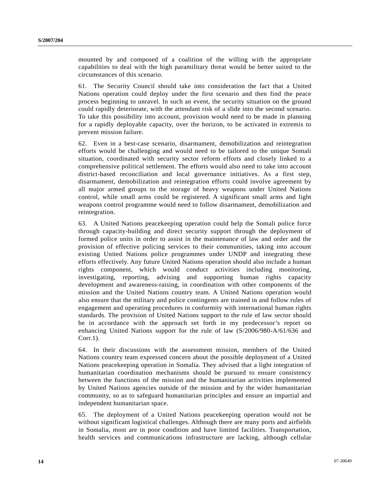mounted by and composed of a coalition of the willing with the appropriate capabilities to deal with the high paramilitary threat would be better suited to the circumstances of this scenario.

61. The Security Council should take into consideration the fact that a United Nations operation could deploy under the first scenario and then find the peace process beginning to unravel. In such an event, the security situation on the ground could rapidly deteriorate, with the attendant risk of a slide into the second scenario. To take this possibility into account, provision would need to be made in planning for a rapidly deployable capacity, over the horizon, to be activated in extremis to prevent mission failure.

62. Even in a best-case scenario, disarmament, demobilization and reintegration efforts would be challenging and would need to be tailored to the unique Somali situation, coordinated with security sector reform efforts and closely linked to a comprehensive political settlement. The efforts would also need to take into account district-based reconciliation and local governance initiatives. As a first step, disarmament, demobilization and reintegration efforts could involve agreement by all major armed groups to the storage of heavy weapons under United Nations control, while small arms could be registered. A significant small arms and light weapons control programme would need to follow disarmament, demobilization and reintegration.

63. A United Nations peacekeeping operation could help the Somali police force through capacity-building and direct security support through the deployment of formed police units in order to assist in the maintenance of law and order and the provision of effective policing services to their communities, taking into account existing United Nations police programmes under UNDP and integrating these efforts effectively. Any future United Nations operation should also include a human rights component, which would conduct activities including monitoring, investigating, reporting, advising and supporting human rights capacity development and awareness-raising, in coordination with other components of the mission and the United Nations country team. A United Nations operation would also ensure that the military and police contingents are trained in and follow rules of engagement and operating procedures in conformity with international human rights standards. The provision of United Nations support to the rule of law sector should be in accordance with the approach set forth in my predecessor's report on enhancing United Nations support for the rule of law (S/2006/980-A/61/636 and Corr.1).

64. In their discussions with the assessment mission, members of the United Nations country team expressed concern about the possible deployment of a United Nations peacekeeping operation in Somalia. They advised that a light integration of humanitarian coordination mechanisms should be pursued to ensure consistency between the functions of the mission and the humanitarian activities implemented by United Nations agencies outside of the mission and by the wider humanitarian community, so as to safeguard humanitarian principles and ensure an impartial and independent humanitarian space.

65. The deployment of a United Nations peacekeeping operation would not be without significant logistical challenges. Although there are many ports and airfields in Somalia, most are in poor condition and have limited facilities. Transportation, health services and communications infrastructure are lacking, although cellular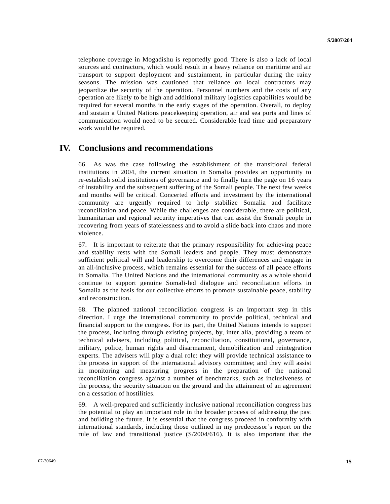telephone coverage in Mogadishu is reportedly good. There is also a lack of local sources and contractors, which would result in a heavy reliance on maritime and air transport to support deployment and sustainment, in particular during the rainy seasons. The mission was cautioned that reliance on local contractors may jeopardize the security of the operation. Personnel numbers and the costs of any operation are likely to be high and additional military logistics capabilities would be required for several months in the early stages of the operation. Overall, to deploy and sustain a United Nations peacekeeping operation, air and sea ports and lines of communication would need to be secured. Considerable lead time and preparatory work would be required.

## **IV. Conclusions and recommendations**

66. As was the case following the establishment of the transitional federal institutions in 2004, the current situation in Somalia provides an opportunity to re-establish solid institutions of governance and to finally turn the page on 16 years of instability and the subsequent suffering of the Somali people. The next few weeks and months will be critical. Concerted efforts and investment by the international community are urgently required to help stabilize Somalia and facilitate reconciliation and peace. While the challenges are considerable, there are political, humanitarian and regional security imperatives that can assist the Somali people in recovering from years of statelessness and to avoid a slide back into chaos and more violence.

67. It is important to reiterate that the primary responsibility for achieving peace and stability rests with the Somali leaders and people. They must demonstrate sufficient political will and leadership to overcome their differences and engage in an all-inclusive process, which remains essential for the success of all peace efforts in Somalia. The United Nations and the international community as a whole should continue to support genuine Somali-led dialogue and reconciliation efforts in Somalia as the basis for our collective efforts to promote sustainable peace, stability and reconstruction.

68. The planned national reconciliation congress is an important step in this direction. I urge the international community to provide political, technical and financial support to the congress. For its part, the United Nations intends to support the process, including through existing projects, by, inter alia, providing a team of technical advisers, including political, reconciliation, constitutional, governance, military, police, human rights and disarmament, demobilization and reintegration experts. The advisers will play a dual role: they will provide technical assistance to the process in support of the international advisory committee; and they will assist in monitoring and measuring progress in the preparation of the national reconciliation congress against a number of benchmarks, such as inclusiveness of the process, the security situation on the ground and the attainment of an agreement on a cessation of hostilities.

69. A well-prepared and sufficiently inclusive national reconciliation congress has the potential to play an important role in the broader process of addressing the past and building the future. It is essential that the congress proceed in conformity with international standards, including those outlined in my predecessor's report on the rule of law and transitional justice (S/2004/616). It is also important that the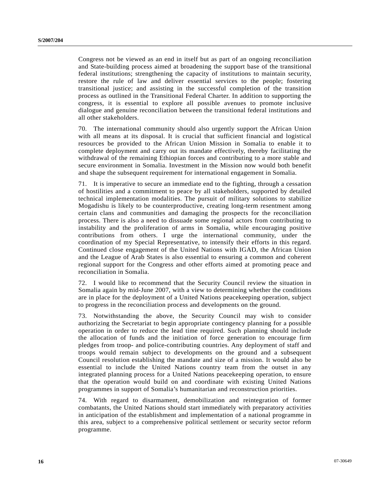Congress not be viewed as an end in itself but as part of an ongoing reconciliation and State-building process aimed at broadening the support base of the transitional federal institutions; strengthening the capacity of institutions to maintain security, restore the rule of law and deliver essential services to the people; fostering transitional justice; and assisting in the successful completion of the transition process as outlined in the Transitional Federal Charter. In addition to supporting the congress, it is essential to explore all possible avenues to promote inclusive dialogue and genuine reconciliation between the transitional federal institutions and all other stakeholders.

70. The international community should also urgently support the African Union with all means at its disposal. It is crucial that sufficient financial and logistical resources be provided to the African Union Mission in Somalia to enable it to complete deployment and carry out its mandate effectively, thereby facilitating the withdrawal of the remaining Ethiopian forces and contributing to a more stable and secure environment in Somalia. Investment in the Mission now would both benefit and shape the subsequent requirement for international engagement in Somalia.

71. It is imperative to secure an immediate end to the fighting, through a cessation of hostilities and a commitment to peace by all stakeholders, supported by detailed technical implementation modalities. The pursuit of military solutions to stabilize Mogadishu is likely to be counterproductive, creating long-term resentment among certain clans and communities and damaging the prospects for the reconciliation process. There is also a need to dissuade some regional actors from contributing to instability and the proliferation of arms in Somalia, while encouraging positive contributions from others. I urge the international community, under the coordination of my Special Representative, to intensify their efforts in this regard. Continued close engagement of the United Nations with IGAD, the African Union and the League of Arab States is also essential to ensuring a common and coherent regional support for the Congress and other efforts aimed at promoting peace and reconciliation in Somalia.

72. I would like to recommend that the Security Council review the situation in Somalia again by mid-June 2007, with a view to determining whether the conditions are in place for the deployment of a United Nations peacekeeping operation, subject to progress in the reconciliation process and developments on the ground.

73. Notwithstanding the above, the Security Council may wish to consider authorizing the Secretariat to begin appropriate contingency planning for a possible operation in order to reduce the lead time required. Such planning should include the allocation of funds and the initiation of force generation to encourage firm pledges from troop- and police-contributing countries. Any deployment of staff and troops would remain subject to developments on the ground and a subsequent Council resolution establishing the mandate and size of a mission. It would also be essential to include the United Nations country team from the outset in any integrated planning process for a United Nations peacekeeping operation, to ensure that the operation would build on and coordinate with existing United Nations programmes in support of Somalia's humanitarian and reconstruction priorities.

74. With regard to disarmament, demobilization and reintegration of former combatants, the United Nations should start immediately with preparatory activities in anticipation of the establishment and implementation of a national programme in this area, subject to a comprehensive political settlement or security sector reform programme.